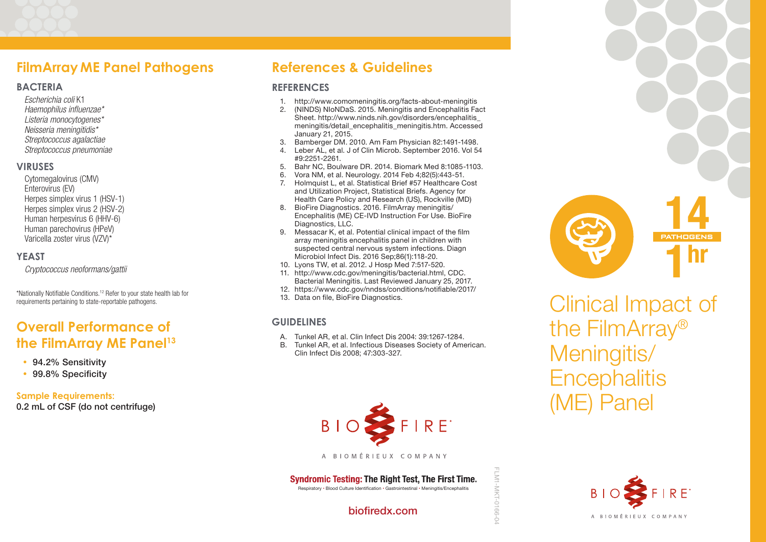### **FilmArray ME Panel Pathogens**

#### **BACTERIA**

*Escherichia coli* K1 *Haemophilus influenzae\* Listeria monocytogenes\* Neisseria meningitidis\* Streptococcus agalactiae Streptococcus pneumoniae*

#### **VIRUSES**

Cytomegalovirus (CMV) Enterovirus (EV) Herpes simplex virus 1 (HSV-1) Herpes simplex virus 2 (HSV-2) Human herpesvirus 6 (HHV-6) Human parechovirus (HPeV) Varicella zoster virus (VZV)\*

### **YEAST**

*Cryptococcus neoformans/gattii*

\*Nationally Notifiable Conditions.12 Refer to your state health lab for requirements pertaining to state-reportable pathogens.

# **Overall Performance of the FilmArray ME Panel<sup>13</sup>**

- 94.2% Sensitivity
- 99.8% Specificity

**Sample Requirements:** 0.2 mL of CSF (do not centrifuge)

# **References & Guidelines**

### **REFERENCES**

- 1. http://www.comomeningitis.org/facts-about-meningitis
- 2. (NINDS) NIoNDaS. 2015. Meningitis and Encephalitis Fact Sheet. http://www.ninds.nih.gov/disorders/encephalitis\_ meningitis/detail\_encephalitis\_meningitis.htm. Accessed January 21, 2015.
- 3. Bamberger DM. 2010. Am Fam Physician 82:1491-1498.
- 4. Leber AL, et al. J of Clin Microb. September 2016. Vol 54 #9:2251-2261.
- 5. Bahr NC, Boulware DR. 2014. Biomark Med 8:1085-1103.
- 6. Vora NM, et al. Neurology. 2014 Feb 4;82(5):443-51.
- 7. Holmquist L, et al. Statistical Brief #57 Healthcare Cost and Utilization Project, Statistical Briefs. Agency for Health Care Policy and Research (US), Rockville (MD)
- 8. BioFire Diagnostics. 2016. FilmArray meningitis/ Encephalitis (ME) CE-IVD Instruction For Use. BioFire Diagnostics, LLC.
- 9. Messacar K, et al. Potential clinical impact of the film array meningitis encephalitis panel in children with suspected central nervous system infections. Diagn Microbiol Infect Dis. 2016 Sep;86(1):118-20.
- 10. Lyons TW, et al. 2012. J Hosp Med 7:517-520.
- 11. http://www.cdc.gov/meningitis/bacterial.html, CDC. Bacterial Meningitis. Last Reviewed January 25, 2017.
- 12. https://www.cdc.gov/nndss/conditions/notifiable/2017/ 13. Data on file, BioFire Diagnostics.

### **GUIDELINES**

- A. Tunkel AR, et al. Clin Infect Dis 2004: 39:1267-1284.
- B. Tunkel AR, et al. Infectious Diseases Society of American. Clin Infect Dis 2008; 47:303-327.



#### A BIOMÉRIEUX COMPANY

### **Syndromic Testing: The Right Test. The First Time.**

Respiratory • Blood Culture Identification • Gastrointestinal • Meningitis/Encephalitis

### biofiredx.com



Clinical Impact of the FilmArray® Meningitis/ **Encephalitis** (ME) Panel 14 1hr **PATHOGENS**



FLM1-MKT-0166-04

FLM1-MKT-0166-04